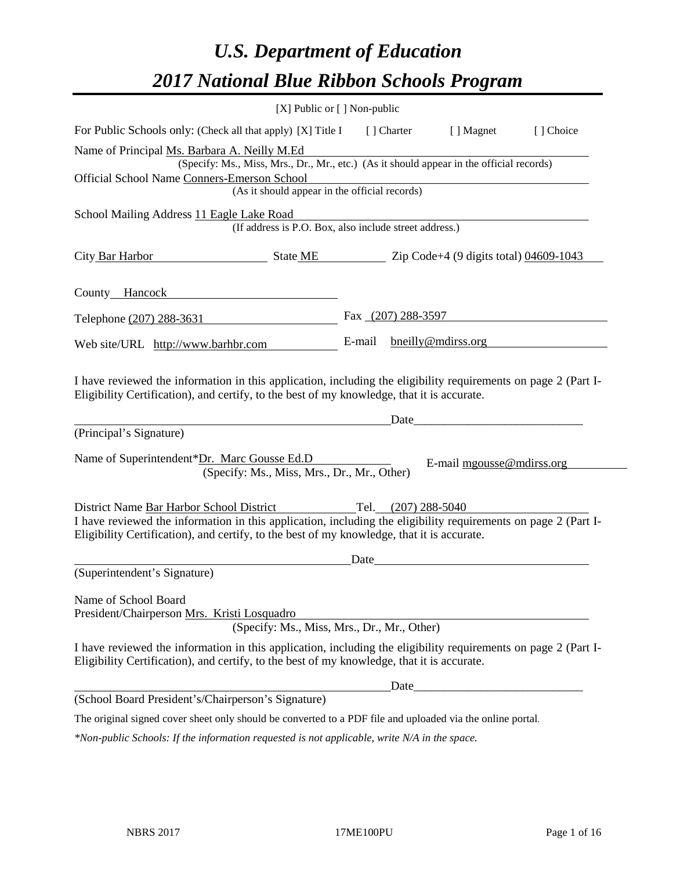# *U.S. Department of Education 2017 National Blue Ribbon Schools Program*

|                                                                                                                                                                                                                                                                                     | [X] Public or [] Non-public |                     |                                                                                                                                                                                                                                                             |           |
|-------------------------------------------------------------------------------------------------------------------------------------------------------------------------------------------------------------------------------------------------------------------------------------|-----------------------------|---------------------|-------------------------------------------------------------------------------------------------------------------------------------------------------------------------------------------------------------------------------------------------------------|-----------|
| For Public Schools only: (Check all that apply) [X] Title I                                                                                                                                                                                                                         |                             | [ ] Charter         | [ ] Magnet                                                                                                                                                                                                                                                  | [] Choice |
| Name of Principal Ms. Barbara A. Neilly M.Ed                                                                                                                                                                                                                                        |                             |                     |                                                                                                                                                                                                                                                             |           |
| (Specify: Ms., Miss, Mrs., Dr., Mr., etc.) (As it should appear in the official records)                                                                                                                                                                                            |                             |                     |                                                                                                                                                                                                                                                             |           |
| Official School Name Conners-Emerson School                                                                                                                                                                                                                                         |                             |                     |                                                                                                                                                                                                                                                             |           |
| (As it should appear in the official records)                                                                                                                                                                                                                                       |                             |                     |                                                                                                                                                                                                                                                             |           |
| School Mailing Address 11 Eagle Lake Road<br>(If address is P.O. Box, also include street address.)                                                                                                                                                                                 |                             |                     |                                                                                                                                                                                                                                                             |           |
|                                                                                                                                                                                                                                                                                     |                             |                     |                                                                                                                                                                                                                                                             |           |
| City Bar Harbor<br>$\frac{1}{2}$ State ME $\frac{1}{2}$ Zip Code+4 (9 digits total) 04609-1043                                                                                                                                                                                      |                             |                     |                                                                                                                                                                                                                                                             |           |
| County Hancock <b>Exercísies County Exercísies County Exercísies</b>                                                                                                                                                                                                                |                             |                     |                                                                                                                                                                                                                                                             |           |
| Telephone (207) 288-3631                                                                                                                                                                                                                                                            |                             |                     | Fax $(207)$ 288-3597                                                                                                                                                                                                                                        |           |
| Web site/URL http://www.barhbr.com                                                                                                                                                                                                                                                  | E-mail                      |                     | bneilly@mdirss.org                                                                                                                                                                                                                                          |           |
| (Principal's Signature)<br>Name of Superintendent*Dr. Marc Gousse Ed.D<br>(Specify: Ms., Miss, Mrs., Dr., Mr., Other)<br>District Name Bar Harbor School District<br>I have reviewed the information in this application, including the eligibility requirements on page 2 (Part I- |                             | Tel. (207) 288-5040 | Date and the contract of the contract of the contract of the contract of the contract of the contract of the contract of the contract of the contract of the contract of the contract of the contract of the contract of the c<br>E-mail mgousse@mdirss.org |           |
| Eligibility Certification), and certify, to the best of my knowledge, that it is accurate.                                                                                                                                                                                          |                             |                     |                                                                                                                                                                                                                                                             |           |
|                                                                                                                                                                                                                                                                                     | Date                        |                     |                                                                                                                                                                                                                                                             |           |
| (Superintendent's Signature)                                                                                                                                                                                                                                                        |                             |                     |                                                                                                                                                                                                                                                             |           |
| Name of School Board<br>President/Chairperson Mrs. Kristi Losquadro<br>(Specify: Ms., Miss, Mrs., Dr., Mr., Other)                                                                                                                                                                  |                             |                     |                                                                                                                                                                                                                                                             |           |
| I have reviewed the information in this application, including the eligibility requirements on page 2 (Part I-<br>Eligibility Certification), and certify, to the best of my knowledge, that it is accurate.                                                                        |                             |                     |                                                                                                                                                                                                                                                             |           |
|                                                                                                                                                                                                                                                                                     |                             | Date                |                                                                                                                                                                                                                                                             |           |
| (School Board President's/Chairperson's Signature)                                                                                                                                                                                                                                  |                             |                     |                                                                                                                                                                                                                                                             |           |
| The original signed cover sheet only should be converted to a PDF file and uploaded via the online portal.                                                                                                                                                                          |                             |                     |                                                                                                                                                                                                                                                             |           |

*\*Non-public Schools: If the information requested is not applicable, write N/A in the space.*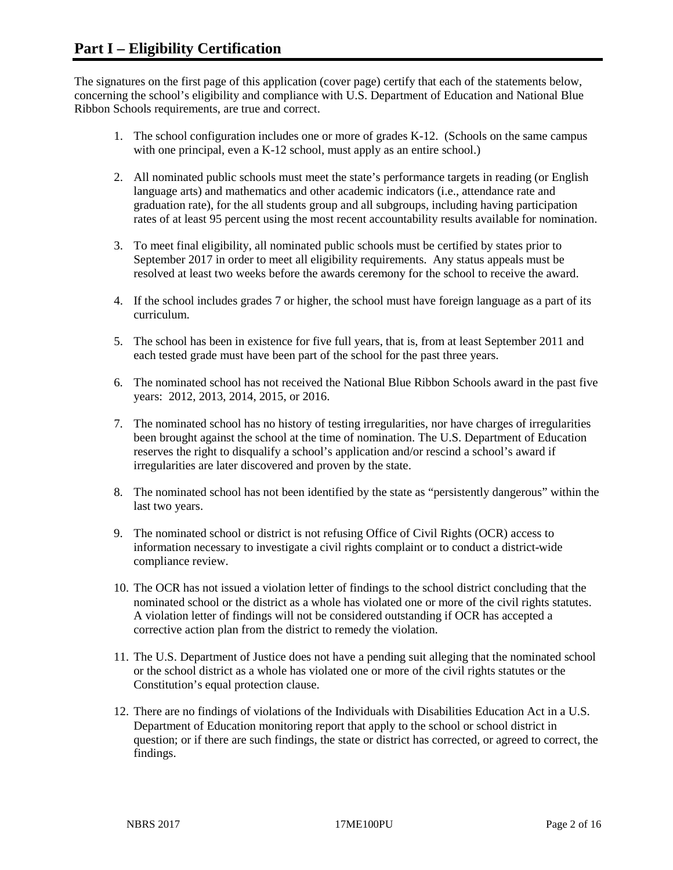The signatures on the first page of this application (cover page) certify that each of the statements below, concerning the school's eligibility and compliance with U.S. Department of Education and National Blue Ribbon Schools requirements, are true and correct.

- 1. The school configuration includes one or more of grades K-12. (Schools on the same campus with one principal, even a K-12 school, must apply as an entire school.)
- 2. All nominated public schools must meet the state's performance targets in reading (or English language arts) and mathematics and other academic indicators (i.e., attendance rate and graduation rate), for the all students group and all subgroups, including having participation rates of at least 95 percent using the most recent accountability results available for nomination.
- 3. To meet final eligibility, all nominated public schools must be certified by states prior to September 2017 in order to meet all eligibility requirements. Any status appeals must be resolved at least two weeks before the awards ceremony for the school to receive the award.
- 4. If the school includes grades 7 or higher, the school must have foreign language as a part of its curriculum.
- 5. The school has been in existence for five full years, that is, from at least September 2011 and each tested grade must have been part of the school for the past three years.
- 6. The nominated school has not received the National Blue Ribbon Schools award in the past five years: 2012, 2013, 2014, 2015, or 2016.
- 7. The nominated school has no history of testing irregularities, nor have charges of irregularities been brought against the school at the time of nomination. The U.S. Department of Education reserves the right to disqualify a school's application and/or rescind a school's award if irregularities are later discovered and proven by the state.
- 8. The nominated school has not been identified by the state as "persistently dangerous" within the last two years.
- 9. The nominated school or district is not refusing Office of Civil Rights (OCR) access to information necessary to investigate a civil rights complaint or to conduct a district-wide compliance review.
- 10. The OCR has not issued a violation letter of findings to the school district concluding that the nominated school or the district as a whole has violated one or more of the civil rights statutes. A violation letter of findings will not be considered outstanding if OCR has accepted a corrective action plan from the district to remedy the violation.
- 11. The U.S. Department of Justice does not have a pending suit alleging that the nominated school or the school district as a whole has violated one or more of the civil rights statutes or the Constitution's equal protection clause.
- 12. There are no findings of violations of the Individuals with Disabilities Education Act in a U.S. Department of Education monitoring report that apply to the school or school district in question; or if there are such findings, the state or district has corrected, or agreed to correct, the findings.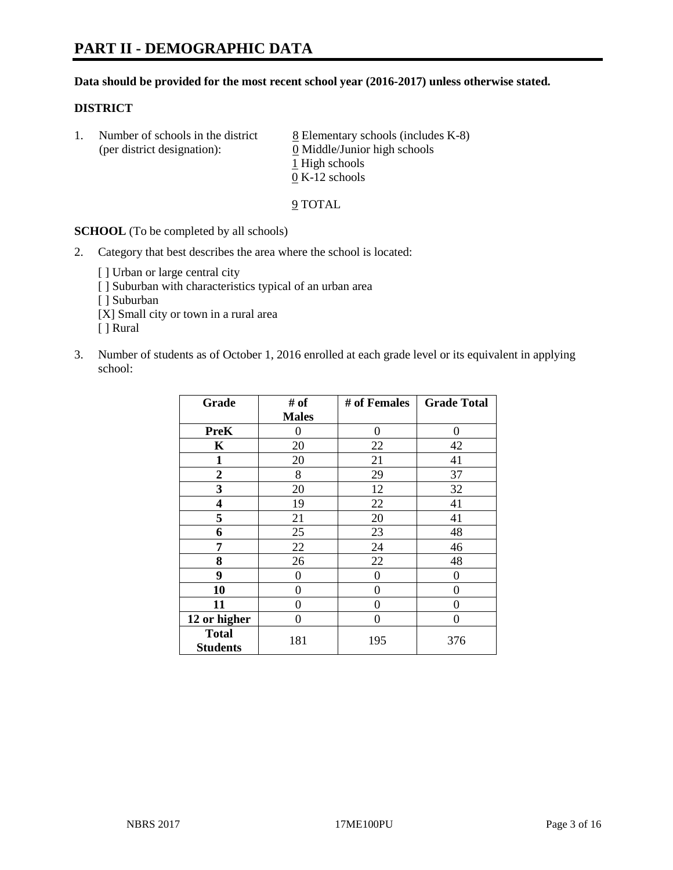#### **Data should be provided for the most recent school year (2016-2017) unless otherwise stated.**

#### **DISTRICT**

1. Number of schools in the district  $8$  Elementary schools (includes K-8) (per district designation): 0 Middle/Junior high schools 1 High schools 0 K-12 schools

9 TOTAL

**SCHOOL** (To be completed by all schools)

- 2. Category that best describes the area where the school is located:
	- [] Urban or large central city [ ] Suburban with characteristics typical of an urban area [ ] Suburban [X] Small city or town in a rural area [ ] Rural
- 3. Number of students as of October 1, 2016 enrolled at each grade level or its equivalent in applying school:

| Grade                           | # of         | # of Females | <b>Grade Total</b> |
|---------------------------------|--------------|--------------|--------------------|
|                                 | <b>Males</b> |              |                    |
| <b>PreK</b>                     | 0            | $\theta$     | 0                  |
| $\mathbf K$                     | 20           | 22           | 42                 |
| $\mathbf{1}$                    | $20\,$       | 21           | 41                 |
| $\overline{2}$                  | 8            | 29           | 37                 |
| 3                               | 20           | 12           | 32                 |
| 4                               | 19           | 22           | 41                 |
| 5                               | 21           | 20           | 41                 |
| 6                               | 25           | 23           | 48                 |
| 7                               | 22           | 24           | 46                 |
| 8                               | 26           | 22           | 48                 |
| 9                               | 0            | $\theta$     | 0                  |
| 10                              | 0            | 0            | 0                  |
| 11                              | 0            | 0            | 0                  |
| 12 or higher                    | 0            | 0            | 0                  |
| <b>Total</b><br><b>Students</b> | 181          | 195          | 376                |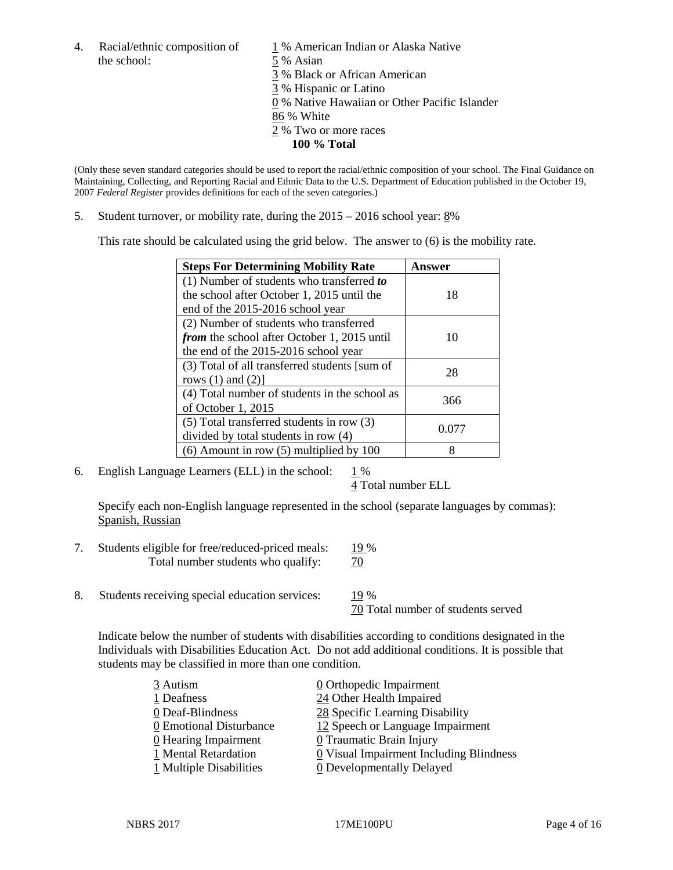4. Racial/ethnic composition of  $1\%$  American Indian or Alaska Native the school: 5 % Asian

 % Black or African American % Hispanic or Latino % Native Hawaiian or Other Pacific Islander 86 % White % Two or more races **100 % Total**

(Only these seven standard categories should be used to report the racial/ethnic composition of your school. The Final Guidance on Maintaining, Collecting, and Reporting Racial and Ethnic Data to the U.S. Department of Education published in the October 19, 2007 *Federal Register* provides definitions for each of the seven categories.)

5. Student turnover, or mobility rate, during the 2015 – 2016 school year: 8%

This rate should be calculated using the grid below. The answer to (6) is the mobility rate.

| <b>Steps For Determining Mobility Rate</b>         | Answer |  |
|----------------------------------------------------|--------|--|
| (1) Number of students who transferred to          |        |  |
| the school after October 1, 2015 until the         | 18     |  |
| end of the 2015-2016 school year                   |        |  |
| (2) Number of students who transferred             |        |  |
| <i>from</i> the school after October 1, 2015 until | 10     |  |
| the end of the 2015-2016 school year               |        |  |
| (3) Total of all transferred students [sum of      | 28     |  |
| rows $(1)$ and $(2)$ ]                             |        |  |
| (4) Total number of students in the school as      | 366    |  |
| of October 1, 2015                                 |        |  |
| (5) Total transferred students in row (3)          | 0.077  |  |
| divided by total students in row (4)               |        |  |
| $(6)$ Amount in row $(5)$ multiplied by 100        | 8      |  |

6. English Language Learners (ELL) in the school:  $1\%$ 

4 Total number ELL

Specify each non-English language represented in the school (separate languages by commas): Spanish, Russian

- 7. Students eligible for free/reduced-priced meals: 19 % Total number students who qualify:  $\frac{70}{2}$
- 8. Students receiving special education services: 19 %

70 Total number of students served

Indicate below the number of students with disabilities according to conditions designated in the Individuals with Disabilities Education Act. Do not add additional conditions. It is possible that students may be classified in more than one condition.

| 3 Autism                           | 0 Orthopedic Impairment                 |
|------------------------------------|-----------------------------------------|
| 1 Deafness                         | 24 Other Health Impaired                |
| 0 Deaf-Blindness                   | 28 Specific Learning Disability         |
| 0 Emotional Disturbance            | 12 Speech or Language Impairment        |
| $\underline{0}$ Hearing Impairment | 0 Traumatic Brain Injury                |
| 1 Mental Retardation               | 0 Visual Impairment Including Blindness |
| $1$ Multiple Disabilities          | <b>0</b> Developmentally Delayed        |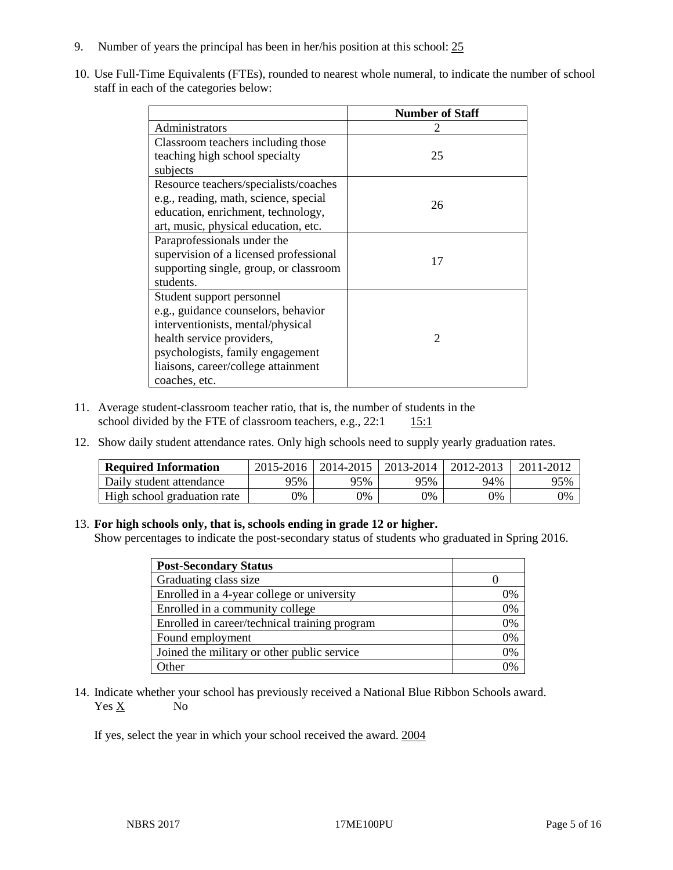- 9. Number of years the principal has been in her/his position at this school: 25
- 10. Use Full-Time Equivalents (FTEs), rounded to nearest whole numeral, to indicate the number of school staff in each of the categories below:

|                                        | <b>Number of Staff</b>      |
|----------------------------------------|-----------------------------|
| Administrators                         |                             |
| Classroom teachers including those     |                             |
| teaching high school specialty         | 25                          |
| subjects                               |                             |
| Resource teachers/specialists/coaches  |                             |
| e.g., reading, math, science, special  | 26                          |
| education, enrichment, technology,     |                             |
| art, music, physical education, etc.   |                             |
| Paraprofessionals under the            |                             |
| supervision of a licensed professional | 17                          |
| supporting single, group, or classroom |                             |
| students.                              |                             |
| Student support personnel              |                             |
| e.g., guidance counselors, behavior    |                             |
| interventionists, mental/physical      |                             |
| health service providers,              | $\mathcal{D}_{\mathcal{L}}$ |
| psychologists, family engagement       |                             |
| liaisons, career/college attainment    |                             |
| coaches, etc.                          |                             |

- 11. Average student-classroom teacher ratio, that is, the number of students in the school divided by the FTE of classroom teachers, e.g.,  $22:1$  15:1
- 12. Show daily student attendance rates. Only high schools need to supply yearly graduation rates.

| <b>Required Information</b> | 2015-2016 | 2014-2015 | 2013-2014 | 2012-2013 |     |
|-----------------------------|-----------|-----------|-----------|-----------|-----|
| Daily student attendance    | 95%       | 95%       | 95%       | 94%       | 95% |
| High school graduation rate | 0%        | 0%        | 0%        | 9%        | 0%  |

#### 13. **For high schools only, that is, schools ending in grade 12 or higher.**

Show percentages to indicate the post-secondary status of students who graduated in Spring 2016.

| <b>Post-Secondary Status</b>                  |    |
|-----------------------------------------------|----|
| Graduating class size                         |    |
| Enrolled in a 4-year college or university    | 0% |
| Enrolled in a community college               | 0% |
| Enrolled in career/technical training program | 0% |
| Found employment                              | 0% |
| Joined the military or other public service   | 0% |
| Other                                         | በ% |

14. Indicate whether your school has previously received a National Blue Ribbon Schools award. Yes X No

If yes, select the year in which your school received the award. 2004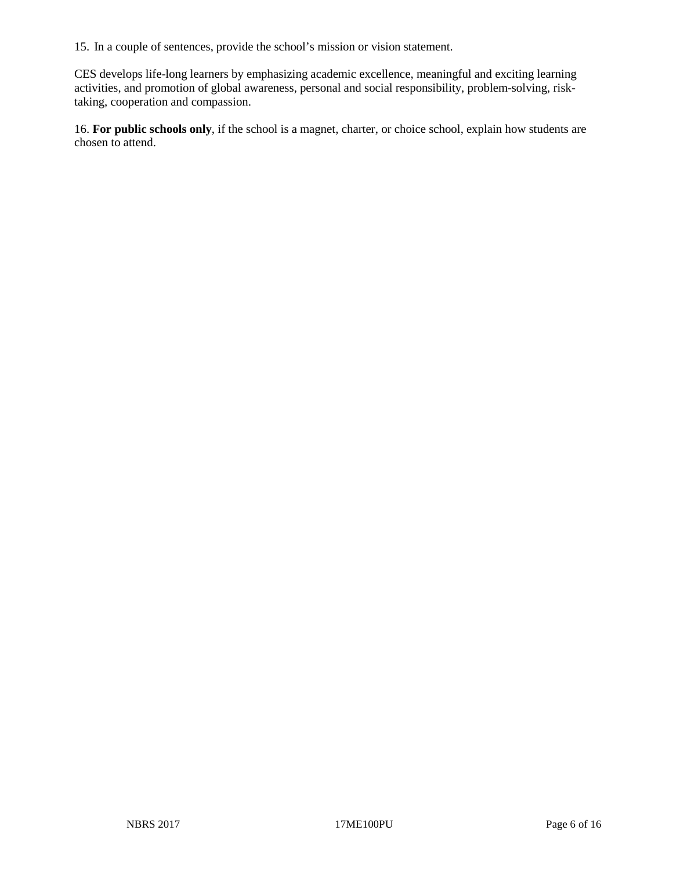15. In a couple of sentences, provide the school's mission or vision statement.

CES develops life-long learners by emphasizing academic excellence, meaningful and exciting learning activities, and promotion of global awareness, personal and social responsibility, problem-solving, risktaking, cooperation and compassion.

16. **For public schools only**, if the school is a magnet, charter, or choice school, explain how students are chosen to attend.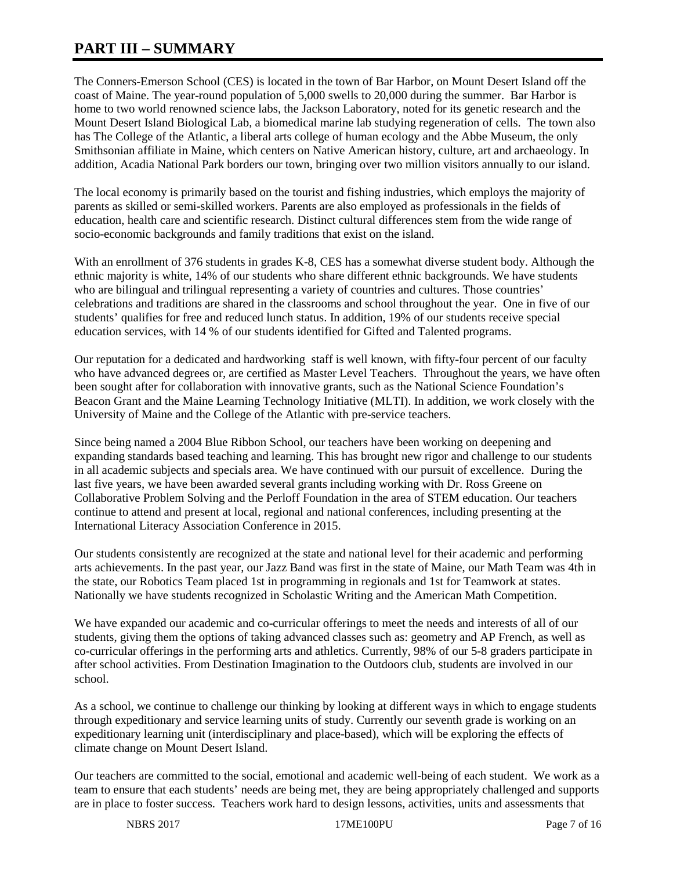# **PART III – SUMMARY**

The Conners-Emerson School (CES) is located in the town of Bar Harbor, on Mount Desert Island off the coast of Maine. The year-round population of 5,000 swells to 20,000 during the summer. Bar Harbor is home to two world renowned science labs, the Jackson Laboratory, noted for its genetic research and the Mount Desert Island Biological Lab, a biomedical marine lab studying regeneration of cells. The town also has The College of the Atlantic, a liberal arts college of human ecology and the Abbe Museum, the only Smithsonian affiliate in Maine, which centers on Native American history, culture, art and archaeology. In addition, Acadia National Park borders our town, bringing over two million visitors annually to our island.

The local economy is primarily based on the tourist and fishing industries, which employs the majority of parents as skilled or semi-skilled workers. Parents are also employed as professionals in the fields of education, health care and scientific research. Distinct cultural differences stem from the wide range of socio-economic backgrounds and family traditions that exist on the island.

With an enrollment of 376 students in grades K-8, CES has a somewhat diverse student body. Although the ethnic majority is white, 14% of our students who share different ethnic backgrounds. We have students who are bilingual and trilingual representing a variety of countries and cultures. Those countries' celebrations and traditions are shared in the classrooms and school throughout the year. One in five of our students' qualifies for free and reduced lunch status. In addition, 19% of our students receive special education services, with 14 % of our students identified for Gifted and Talented programs.

Our reputation for a dedicated and hardworking staff is well known, with fifty-four percent of our faculty who have advanced degrees or, are certified as Master Level Teachers. Throughout the years, we have often been sought after for collaboration with innovative grants, such as the National Science Foundation's Beacon Grant and the Maine Learning Technology Initiative (MLTI). In addition, we work closely with the University of Maine and the College of the Atlantic with pre-service teachers.

Since being named a 2004 Blue Ribbon School, our teachers have been working on deepening and expanding standards based teaching and learning. This has brought new rigor and challenge to our students in all academic subjects and specials area. We have continued with our pursuit of excellence. During the last five years, we have been awarded several grants including working with Dr. Ross Greene on Collaborative Problem Solving and the Perloff Foundation in the area of STEM education. Our teachers continue to attend and present at local, regional and national conferences, including presenting at the International Literacy Association Conference in 2015.

Our students consistently are recognized at the state and national level for their academic and performing arts achievements. In the past year, our Jazz Band was first in the state of Maine, our Math Team was 4th in the state, our Robotics Team placed 1st in programming in regionals and 1st for Teamwork at states. Nationally we have students recognized in Scholastic Writing and the American Math Competition.

We have expanded our academic and co-curricular offerings to meet the needs and interests of all of our students, giving them the options of taking advanced classes such as: geometry and AP French, as well as co-curricular offerings in the performing arts and athletics. Currently, 98% of our 5-8 graders participate in after school activities. From Destination Imagination to the Outdoors club, students are involved in our school.

As a school, we continue to challenge our thinking by looking at different ways in which to engage students through expeditionary and service learning units of study. Currently our seventh grade is working on an expeditionary learning unit (interdisciplinary and place-based), which will be exploring the effects of climate change on Mount Desert Island.

Our teachers are committed to the social, emotional and academic well-being of each student. We work as a team to ensure that each students' needs are being met, they are being appropriately challenged and supports are in place to foster success. Teachers work hard to design lessons, activities, units and assessments that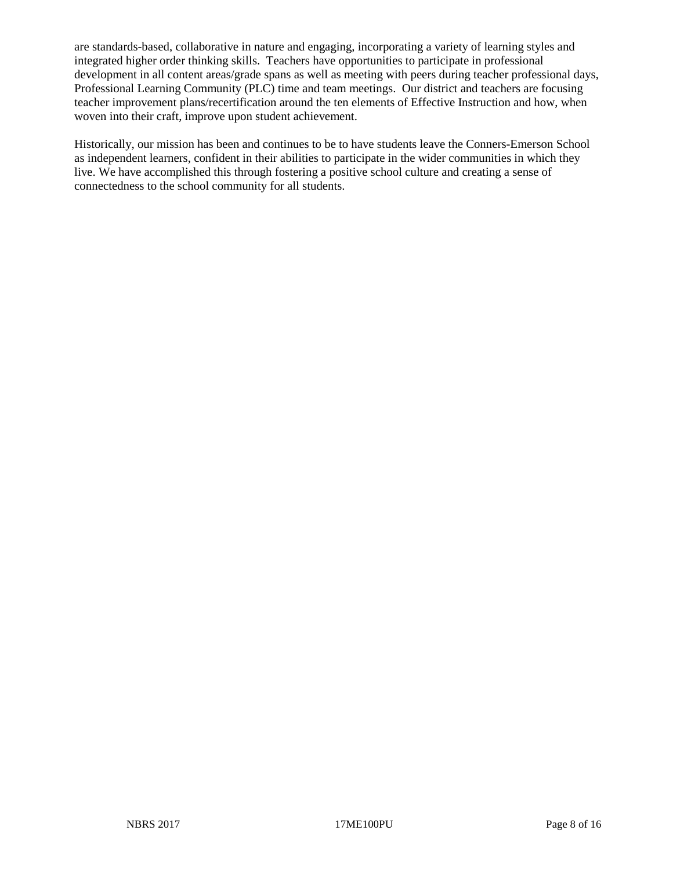are standards-based, collaborative in nature and engaging, incorporating a variety of learning styles and integrated higher order thinking skills. Teachers have opportunities to participate in professional development in all content areas/grade spans as well as meeting with peers during teacher professional days, Professional Learning Community (PLC) time and team meetings. Our district and teachers are focusing teacher improvement plans/recertification around the ten elements of Effective Instruction and how, when woven into their craft, improve upon student achievement.

Historically, our mission has been and continues to be to have students leave the Conners-Emerson School as independent learners, confident in their abilities to participate in the wider communities in which they live. We have accomplished this through fostering a positive school culture and creating a sense of connectedness to the school community for all students.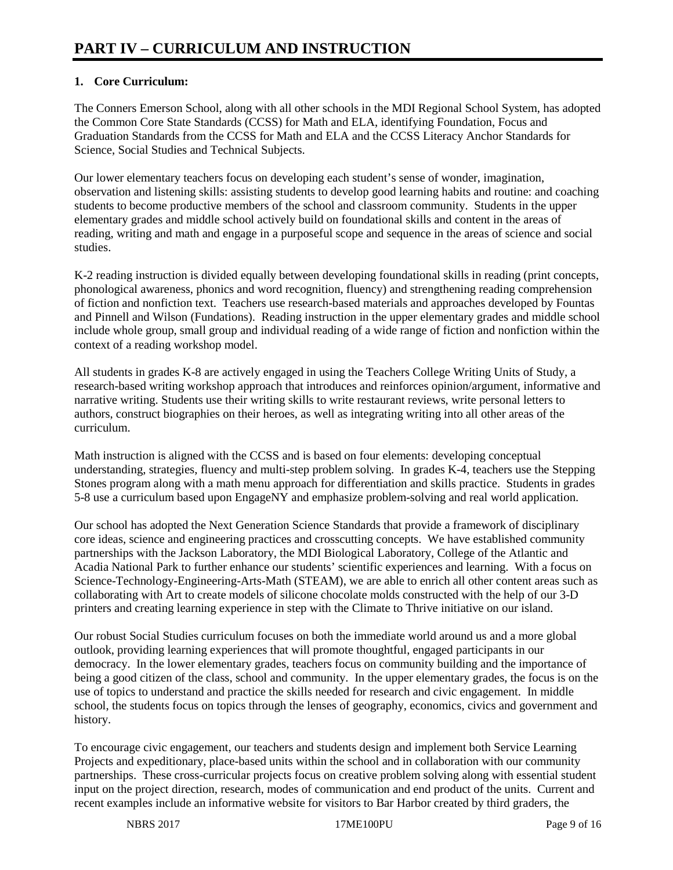## **1. Core Curriculum:**

The Conners Emerson School, along with all other schools in the MDI Regional School System, has adopted the Common Core State Standards (CCSS) for Math and ELA, identifying Foundation, Focus and Graduation Standards from the CCSS for Math and ELA and the CCSS Literacy Anchor Standards for Science, Social Studies and Technical Subjects.

Our lower elementary teachers focus on developing each student's sense of wonder, imagination, observation and listening skills: assisting students to develop good learning habits and routine: and coaching students to become productive members of the school and classroom community. Students in the upper elementary grades and middle school actively build on foundational skills and content in the areas of reading, writing and math and engage in a purposeful scope and sequence in the areas of science and social studies.

K-2 reading instruction is divided equally between developing foundational skills in reading (print concepts, phonological awareness, phonics and word recognition, fluency) and strengthening reading comprehension of fiction and nonfiction text. Teachers use research-based materials and approaches developed by Fountas and Pinnell and Wilson (Fundations). Reading instruction in the upper elementary grades and middle school include whole group, small group and individual reading of a wide range of fiction and nonfiction within the context of a reading workshop model.

All students in grades K-8 are actively engaged in using the Teachers College Writing Units of Study, a research-based writing workshop approach that introduces and reinforces opinion/argument, informative and narrative writing. Students use their writing skills to write restaurant reviews, write personal letters to authors, construct biographies on their heroes, as well as integrating writing into all other areas of the curriculum.

Math instruction is aligned with the CCSS and is based on four elements: developing conceptual understanding, strategies, fluency and multi-step problem solving. In grades K-4, teachers use the Stepping Stones program along with a math menu approach for differentiation and skills practice. Students in grades 5-8 use a curriculum based upon EngageNY and emphasize problem-solving and real world application.

Our school has adopted the Next Generation Science Standards that provide a framework of disciplinary core ideas, science and engineering practices and crosscutting concepts. We have established community partnerships with the Jackson Laboratory, the MDI Biological Laboratory, College of the Atlantic and Acadia National Park to further enhance our students' scientific experiences and learning. With a focus on Science-Technology-Engineering-Arts-Math (STEAM), we are able to enrich all other content areas such as collaborating with Art to create models of silicone chocolate molds constructed with the help of our 3-D printers and creating learning experience in step with the Climate to Thrive initiative on our island.

Our robust Social Studies curriculum focuses on both the immediate world around us and a more global outlook, providing learning experiences that will promote thoughtful, engaged participants in our democracy. In the lower elementary grades, teachers focus on community building and the importance of being a good citizen of the class, school and community. In the upper elementary grades, the focus is on the use of topics to understand and practice the skills needed for research and civic engagement. In middle school, the students focus on topics through the lenses of geography, economics, civics and government and history.

To encourage civic engagement, our teachers and students design and implement both Service Learning Projects and expeditionary, place-based units within the school and in collaboration with our community partnerships. These cross-curricular projects focus on creative problem solving along with essential student input on the project direction, research, modes of communication and end product of the units. Current and recent examples include an informative website for visitors to Bar Harbor created by third graders, the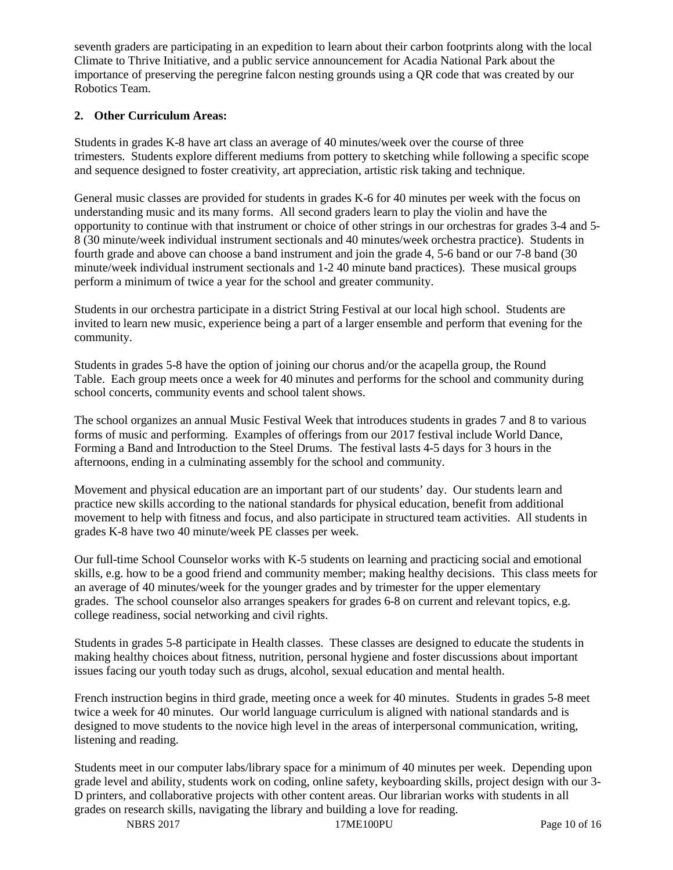seventh graders are participating in an expedition to learn about their carbon footprints along with the local Climate to Thrive Initiative, and a public service announcement for Acadia National Park about the importance of preserving the peregrine falcon nesting grounds using a QR code that was created by our Robotics Team.

### **2. Other Curriculum Areas:**

Students in grades K-8 have art class an average of 40 minutes/week over the course of three trimesters. Students explore different mediums from pottery to sketching while following a specific scope and sequence designed to foster creativity, art appreciation, artistic risk taking and technique.

General music classes are provided for students in grades K-6 for 40 minutes per week with the focus on understanding music and its many forms. All second graders learn to play the violin and have the opportunity to continue with that instrument or choice of other strings in our orchestras for grades 3-4 and 5- 8 (30 minute/week individual instrument sectionals and 40 minutes/week orchestra practice). Students in fourth grade and above can choose a band instrument and join the grade 4, 5-6 band or our 7-8 band (30 minute/week individual instrument sectionals and 1-2 40 minute band practices). These musical groups perform a minimum of twice a year for the school and greater community.

Students in our orchestra participate in a district String Festival at our local high school. Students are invited to learn new music, experience being a part of a larger ensemble and perform that evening for the community.

Students in grades 5-8 have the option of joining our chorus and/or the acapella group, the Round Table. Each group meets once a week for 40 minutes and performs for the school and community during school concerts, community events and school talent shows.

The school organizes an annual Music Festival Week that introduces students in grades 7 and 8 to various forms of music and performing. Examples of offerings from our 2017 festival include World Dance, Forming a Band and Introduction to the Steel Drums. The festival lasts 4-5 days for 3 hours in the afternoons, ending in a culminating assembly for the school and community.

Movement and physical education are an important part of our students' day. Our students learn and practice new skills according to the national standards for physical education, benefit from additional movement to help with fitness and focus, and also participate in structured team activities. All students in grades K-8 have two 40 minute/week PE classes per week.

Our full-time School Counselor works with K-5 students on learning and practicing social and emotional skills, e.g. how to be a good friend and community member; making healthy decisions. This class meets for an average of 40 minutes/week for the younger grades and by trimester for the upper elementary grades. The school counselor also arranges speakers for grades 6-8 on current and relevant topics, e.g. college readiness, social networking and civil rights.

Students in grades 5-8 participate in Health classes. These classes are designed to educate the students in making healthy choices about fitness, nutrition, personal hygiene and foster discussions about important issues facing our youth today such as drugs, alcohol, sexual education and mental health.

French instruction begins in third grade, meeting once a week for 40 minutes. Students in grades 5-8 meet twice a week for 40 minutes. Our world language curriculum is aligned with national standards and is designed to move students to the novice high level in the areas of interpersonal communication, writing, listening and reading.

Students meet in our computer labs/library space for a minimum of 40 minutes per week. Depending upon grade level and ability, students work on coding, online safety, keyboarding skills, project design with our 3- D printers, and collaborative projects with other content areas. Our librarian works with students in all grades on research skills, navigating the library and building a love for reading.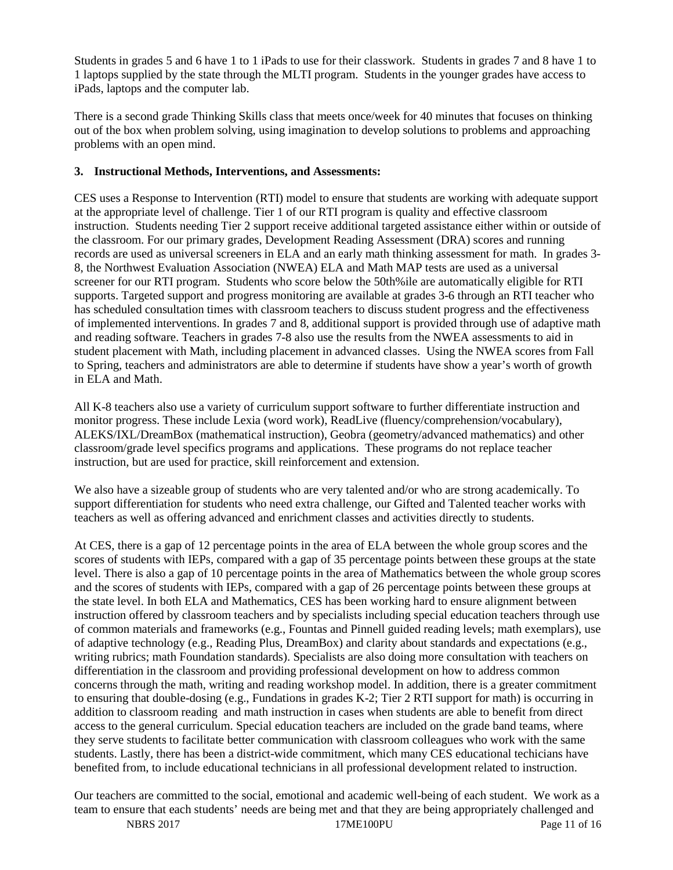Students in grades 5 and 6 have 1 to 1 iPads to use for their classwork. Students in grades 7 and 8 have 1 to 1 laptops supplied by the state through the MLTI program. Students in the younger grades have access to iPads, laptops and the computer lab.

There is a second grade Thinking Skills class that meets once/week for 40 minutes that focuses on thinking out of the box when problem solving, using imagination to develop solutions to problems and approaching problems with an open mind.

#### **3. Instructional Methods, Interventions, and Assessments:**

CES uses a Response to Intervention (RTI) model to ensure that students are working with adequate support at the appropriate level of challenge. Tier 1 of our RTI program is quality and effective classroom instruction. Students needing Tier 2 support receive additional targeted assistance either within or outside of the classroom. For our primary grades, Development Reading Assessment (DRA) scores and running records are used as universal screeners in ELA and an early math thinking assessment for math. In grades 3- 8, the Northwest Evaluation Association (NWEA) ELA and Math MAP tests are used as a universal screener for our RTI program. Students who score below the 50th%ile are automatically eligible for RTI supports. Targeted support and progress monitoring are available at grades 3-6 through an RTI teacher who has scheduled consultation times with classroom teachers to discuss student progress and the effectiveness of implemented interventions. In grades 7 and 8, additional support is provided through use of adaptive math and reading software. Teachers in grades 7-8 also use the results from the NWEA assessments to aid in student placement with Math, including placement in advanced classes. Using the NWEA scores from Fall to Spring, teachers and administrators are able to determine if students have show a year's worth of growth in ELA and Math.

All K-8 teachers also use a variety of curriculum support software to further differentiate instruction and monitor progress. These include Lexia (word work), ReadLive (fluency/comprehension/vocabulary), ALEKS/IXL/DreamBox (mathematical instruction), Geobra (geometry/advanced mathematics) and other classroom/grade level specifics programs and applications. These programs do not replace teacher instruction, but are used for practice, skill reinforcement and extension.

We also have a sizeable group of students who are very talented and/or who are strong academically. To support differentiation for students who need extra challenge, our Gifted and Talented teacher works with teachers as well as offering advanced and enrichment classes and activities directly to students.

At CES, there is a gap of 12 percentage points in the area of ELA between the whole group scores and the scores of students with IEPs, compared with a gap of 35 percentage points between these groups at the state level. There is also a gap of 10 percentage points in the area of Mathematics between the whole group scores and the scores of students with IEPs, compared with a gap of 26 percentage points between these groups at the state level. In both ELA and Mathematics, CES has been working hard to ensure alignment between instruction offered by classroom teachers and by specialists including special education teachers through use of common materials and frameworks (e.g., Fountas and Pinnell guided reading levels; math exemplars), use of adaptive technology (e.g., Reading Plus, DreamBox) and clarity about standards and expectations (e.g., writing rubrics; math Foundation standards). Specialists are also doing more consultation with teachers on differentiation in the classroom and providing professional development on how to address common concerns through the math, writing and reading workshop model. In addition, there is a greater commitment to ensuring that double-dosing (e.g., Fundations in grades K-2; Tier 2 RTI support for math) is occurring in addition to classroom reading and math instruction in cases when students are able to benefit from direct access to the general curriculum. Special education teachers are included on the grade band teams, where they serve students to facilitate better communication with classroom colleagues who work with the same students. Lastly, there has been a district-wide commitment, which many CES educational techicians have benefited from, to include educational technicians in all professional development related to instruction.

Our teachers are committed to the social, emotional and academic well-being of each student. We work as a team to ensure that each students' needs are being met and that they are being appropriately challenged and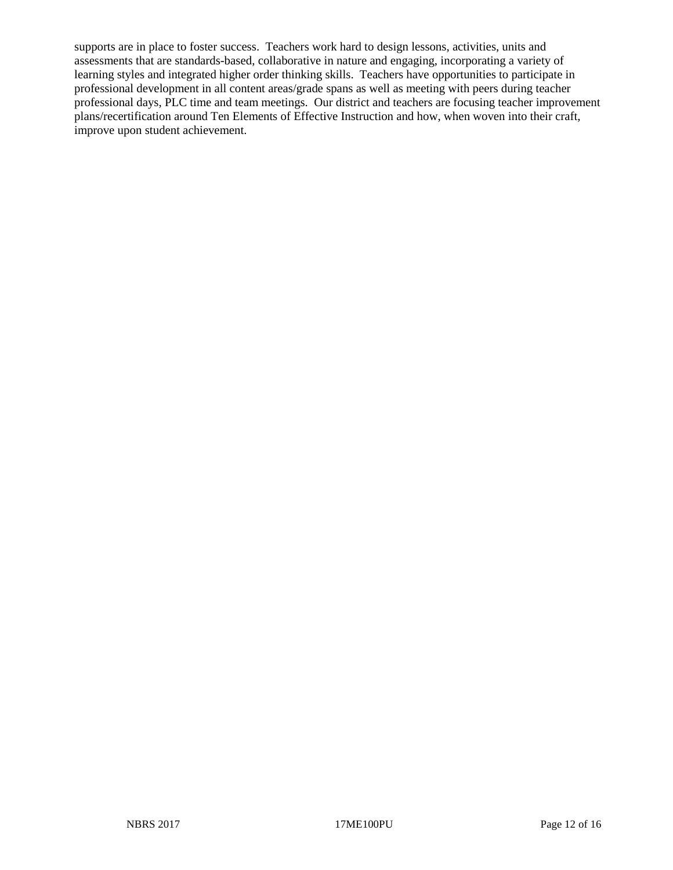supports are in place to foster success. Teachers work hard to design lessons, activities, units and assessments that are standards-based, collaborative in nature and engaging, incorporating a variety of learning styles and integrated higher order thinking skills. Teachers have opportunities to participate in professional development in all content areas/grade spans as well as meeting with peers during teacher professional days, PLC time and team meetings. Our district and teachers are focusing teacher improvement plans/recertification around Ten Elements of Effective Instruction and how, when woven into their craft, improve upon student achievement.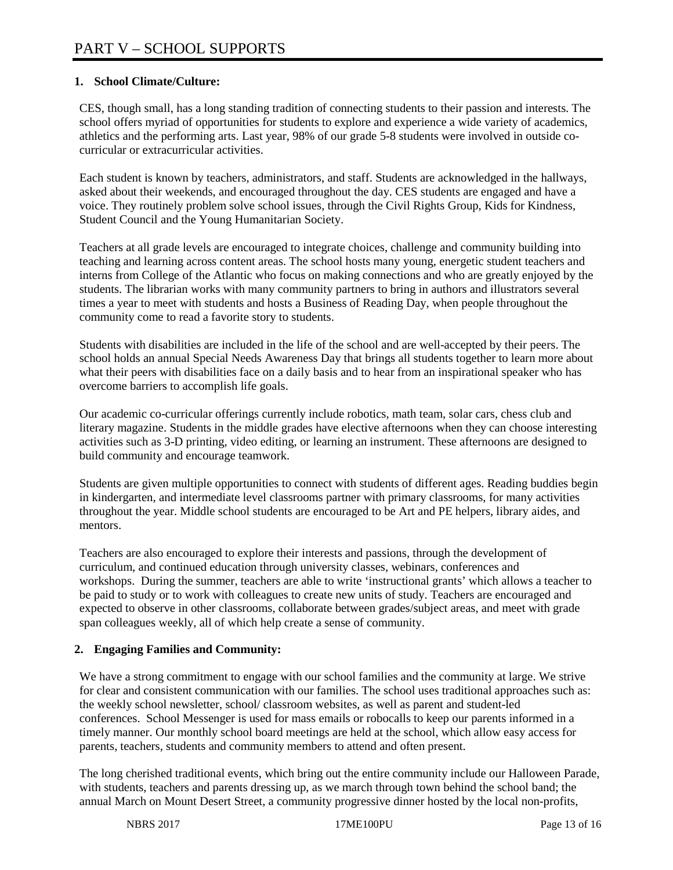## **1. School Climate/Culture:**

CES, though small, has a long standing tradition of connecting students to their passion and interests. The school offers myriad of opportunities for students to explore and experience a wide variety of academics, athletics and the performing arts. Last year, 98% of our grade 5-8 students were involved in outside cocurricular or extracurricular activities.

Each student is known by teachers, administrators, and staff. Students are acknowledged in the hallways, asked about their weekends, and encouraged throughout the day. CES students are engaged and have a voice. They routinely problem solve school issues, through the Civil Rights Group, Kids for Kindness, Student Council and the Young Humanitarian Society.

Teachers at all grade levels are encouraged to integrate choices, challenge and community building into teaching and learning across content areas. The school hosts many young, energetic student teachers and interns from College of the Atlantic who focus on making connections and who are greatly enjoyed by the students. The librarian works with many community partners to bring in authors and illustrators several times a year to meet with students and hosts a Business of Reading Day, when people throughout the community come to read a favorite story to students.

Students with disabilities are included in the life of the school and are well-accepted by their peers. The school holds an annual Special Needs Awareness Day that brings all students together to learn more about what their peers with disabilities face on a daily basis and to hear from an inspirational speaker who has overcome barriers to accomplish life goals.

Our academic co-curricular offerings currently include robotics, math team, solar cars, chess club and literary magazine. Students in the middle grades have elective afternoons when they can choose interesting activities such as 3-D printing, video editing, or learning an instrument. These afternoons are designed to build community and encourage teamwork.

Students are given multiple opportunities to connect with students of different ages. Reading buddies begin in kindergarten, and intermediate level classrooms partner with primary classrooms, for many activities throughout the year. Middle school students are encouraged to be Art and PE helpers, library aides, and mentors.

Teachers are also encouraged to explore their interests and passions, through the development of curriculum, and continued education through university classes, webinars, conferences and workshops. During the summer, teachers are able to write 'instructional grants' which allows a teacher to be paid to study or to work with colleagues to create new units of study. Teachers are encouraged and expected to observe in other classrooms, collaborate between grades/subject areas, and meet with grade span colleagues weekly, all of which help create a sense of community.

# **2. Engaging Families and Community:**

We have a strong commitment to engage with our school families and the community at large. We strive for clear and consistent communication with our families. The school uses traditional approaches such as: the weekly school newsletter, school/ classroom websites, as well as parent and student-led conferences. School Messenger is used for mass emails or robocalls to keep our parents informed in a timely manner. Our monthly school board meetings are held at the school, which allow easy access for parents, teachers, students and community members to attend and often present.

The long cherished traditional events, which bring out the entire community include our Halloween Parade, with students, teachers and parents dressing up, as we march through town behind the school band; the annual March on Mount Desert Street, a community progressive dinner hosted by the local non-profits,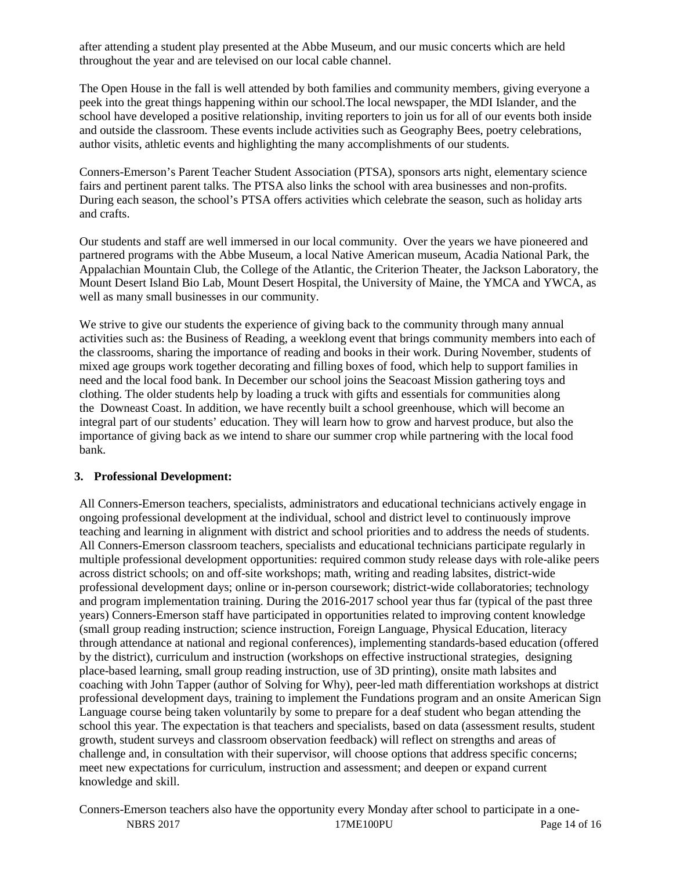after attending a student play presented at the Abbe Museum, and our music concerts which are held throughout the year and are televised on our local cable channel.

The Open House in the fall is well attended by both families and community members, giving everyone a peek into the great things happening within our school.The local newspaper, the MDI Islander, and the school have developed a positive relationship, inviting reporters to join us for all of our events both inside and outside the classroom. These events include activities such as Geography Bees, poetry celebrations, author visits, athletic events and highlighting the many accomplishments of our students.

Conners-Emerson's Parent Teacher Student Association (PTSA), sponsors arts night, elementary science fairs and pertinent parent talks. The PTSA also links the school with area businesses and non-profits. During each season, the school's PTSA offers activities which celebrate the season, such as holiday arts and crafts.

Our students and staff are well immersed in our local community. Over the years we have pioneered and partnered programs with the Abbe Museum, a local Native American museum, Acadia National Park, the Appalachian Mountain Club, the College of the Atlantic, the Criterion Theater, the Jackson Laboratory, the Mount Desert Island Bio Lab, Mount Desert Hospital, the University of Maine, the YMCA and YWCA, as well as many small businesses in our community.

We strive to give our students the experience of giving back to the community through many annual activities such as: the Business of Reading, a weeklong event that brings community members into each of the classrooms, sharing the importance of reading and books in their work. During November, students of mixed age groups work together decorating and filling boxes of food, which help to support families in need and the local food bank. In December our school joins the Seacoast Mission gathering toys and clothing. The older students help by loading a truck with gifts and essentials for communities along the Downeast Coast. In addition, we have recently built a school greenhouse, which will become an integral part of our students' education. They will learn how to grow and harvest produce, but also the importance of giving back as we intend to share our summer crop while partnering with the local food bank.

#### **3. Professional Development:**

All Conners-Emerson teachers, specialists, administrators and educational technicians actively engage in ongoing professional development at the individual, school and district level to continuously improve teaching and learning in alignment with district and school priorities and to address the needs of students. All Conners-Emerson classroom teachers, specialists and educational technicians participate regularly in multiple professional development opportunities: required common study release days with role-alike peers across district schools; on and off-site workshops; math, writing and reading labsites, district-wide professional development days; online or in-person coursework; district-wide collaboratories; technology and program implementation training. During the 2016-2017 school year thus far (typical of the past three years) Conners-Emerson staff have participated in opportunities related to improving content knowledge (small group reading instruction; science instruction, Foreign Language, Physical Education, literacy through attendance at national and regional conferences), implementing standards-based education (offered by the district), curriculum and instruction (workshops on effective instructional strategies, designing place-based learning, small group reading instruction, use of 3D printing), onsite math labsites and coaching with John Tapper (author of Solving for Why), peer-led math differentiation workshops at district professional development days, training to implement the Fundations program and an onsite American Sign Language course being taken voluntarily by some to prepare for a deaf student who began attending the school this year. The expectation is that teachers and specialists, based on data (assessment results, student growth, student surveys and classroom observation feedback) will reflect on strengths and areas of challenge and, in consultation with their supervisor, will choose options that address specific concerns; meet new expectations for curriculum, instruction and assessment; and deepen or expand current knowledge and skill.

NBRS 2017 17ME100PU Page 14 of 16 Conners-Emerson teachers also have the opportunity every Monday after school to participate in a one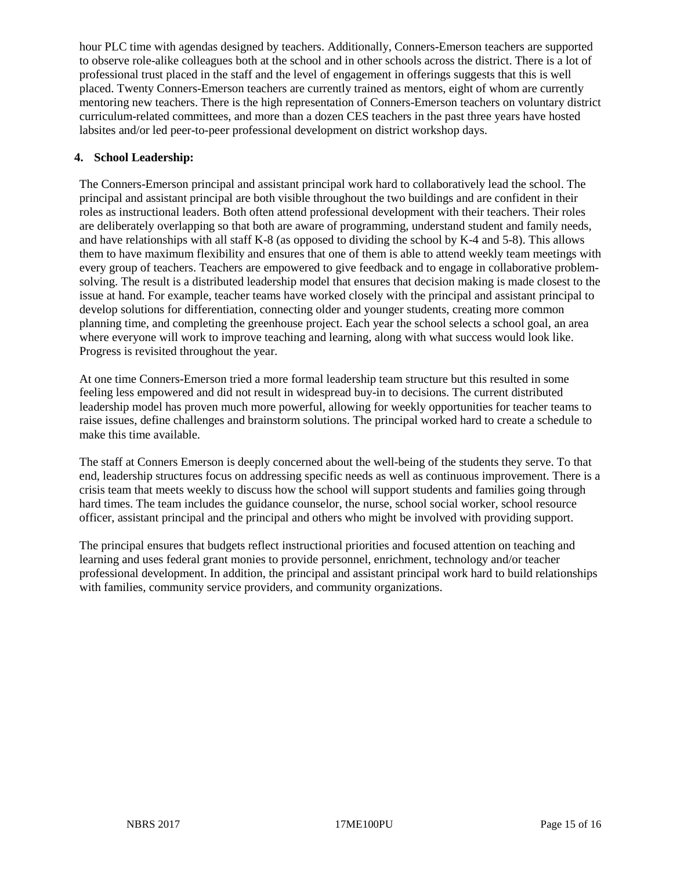hour PLC time with agendas designed by teachers. Additionally, Conners-Emerson teachers are supported to observe role-alike colleagues both at the school and in other schools across the district. There is a lot of professional trust placed in the staff and the level of engagement in offerings suggests that this is well placed. Twenty Conners-Emerson teachers are currently trained as mentors, eight of whom are currently mentoring new teachers. There is the high representation of Conners-Emerson teachers on voluntary district curriculum-related committees, and more than a dozen CES teachers in the past three years have hosted labsites and/or led peer-to-peer professional development on district workshop days.

#### **4. School Leadership:**

The Conners-Emerson principal and assistant principal work hard to collaboratively lead the school. The principal and assistant principal are both visible throughout the two buildings and are confident in their roles as instructional leaders. Both often attend professional development with their teachers. Their roles are deliberately overlapping so that both are aware of programming, understand student and family needs, and have relationships with all staff K-8 (as opposed to dividing the school by K-4 and 5-8). This allows them to have maximum flexibility and ensures that one of them is able to attend weekly team meetings with every group of teachers. Teachers are empowered to give feedback and to engage in collaborative problemsolving. The result is a distributed leadership model that ensures that decision making is made closest to the issue at hand. For example, teacher teams have worked closely with the principal and assistant principal to develop solutions for differentiation, connecting older and younger students, creating more common planning time, and completing the greenhouse project. Each year the school selects a school goal, an area where everyone will work to improve teaching and learning, along with what success would look like. Progress is revisited throughout the year.

At one time Conners-Emerson tried a more formal leadership team structure but this resulted in some feeling less empowered and did not result in widespread buy-in to decisions. The current distributed leadership model has proven much more powerful, allowing for weekly opportunities for teacher teams to raise issues, define challenges and brainstorm solutions. The principal worked hard to create a schedule to make this time available.

The staff at Conners Emerson is deeply concerned about the well-being of the students they serve. To that end, leadership structures focus on addressing specific needs as well as continuous improvement. There is a crisis team that meets weekly to discuss how the school will support students and families going through hard times. The team includes the guidance counselor, the nurse, school social worker, school resource officer, assistant principal and the principal and others who might be involved with providing support.

The principal ensures that budgets reflect instructional priorities and focused attention on teaching and learning and uses federal grant monies to provide personnel, enrichment, technology and/or teacher professional development. In addition, the principal and assistant principal work hard to build relationships with families, community service providers, and community organizations.